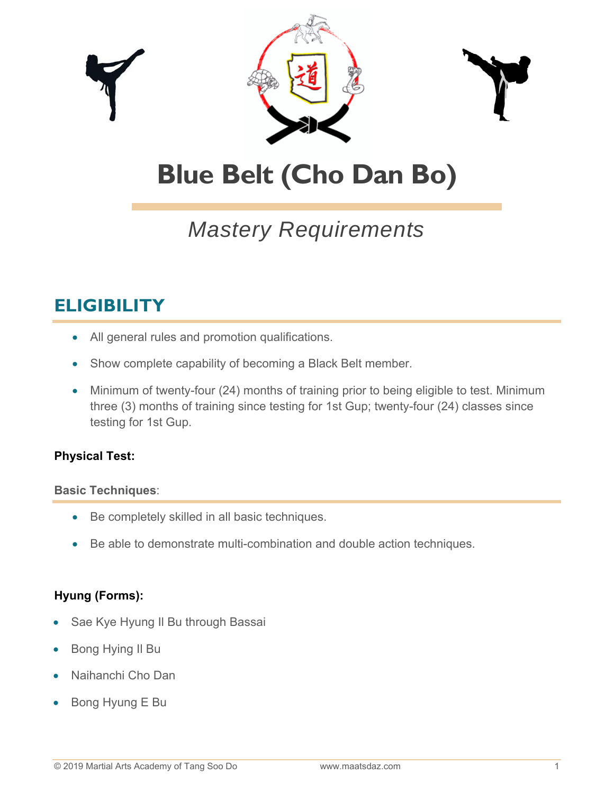

# **Blue Belt (Cho Dan Bo)**

## *Mastery Requirements*

### **ELIGIBILITY**

- All general rules and promotion qualifications.
- Show complete capability of becoming a Black Belt member.
- Minimum of twenty-four (24) months of training prior to being eligible to test. Minimum three (3) months of training since testing for 1st Gup; twenty-four (24) classes since testing for 1st Gup.

#### **Physical Test:**

#### **Basic Techniques**:

- Be completely skilled in all basic techniques.
- Be able to demonstrate multi-combination and double action techniques.

#### **Hyung (Forms):**

- Sae Kye Hyung Il Bu through Bassai
- Bong Hying Il Bu
- Naihanchi Cho Dan
- Bong Hyung E Bu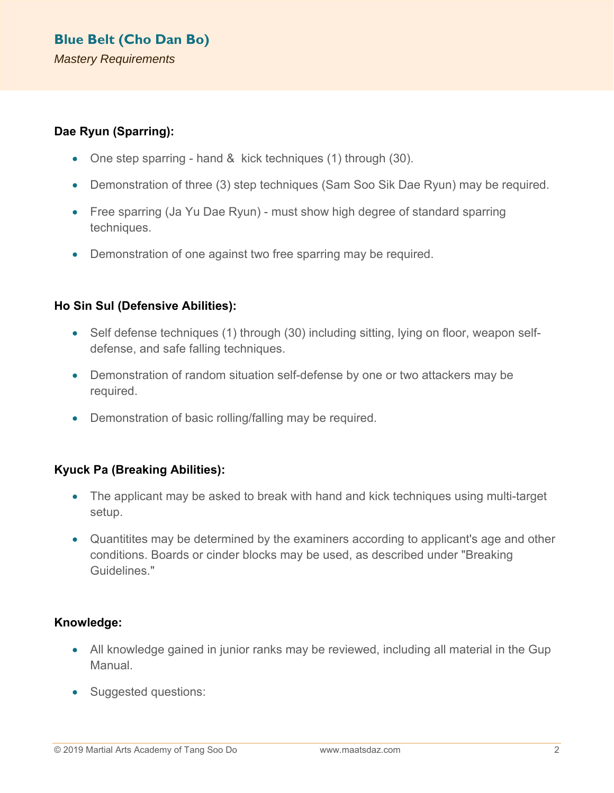#### **Dae Ryun (Sparring):**

- One step sparring hand & kick techniques (1) through (30).
- Demonstration of three (3) step techniques (Sam Soo Sik Dae Ryun) may be required.
- Free sparring (Ja Yu Dae Ryun) must show high degree of standard sparring techniques.
- Demonstration of one against two free sparring may be required.

#### **Ho Sin Sul (Defensive Abilities):**

- Self defense techniques (1) through (30) including sitting, lying on floor, weapon selfdefense, and safe falling techniques.
- Demonstration of random situation self-defense by one or two attackers may be required.
- Demonstration of basic rolling/falling may be required.

#### **Kyuck Pa (Breaking Abilities):**

- The applicant may be asked to break with hand and kick techniques using multi-target setup.
- Quantitites may be determined by the examiners according to applicant's age and other conditions. Boards or cinder blocks may be used, as described under "Breaking Guidelines."

#### **Knowledge:**

- All knowledge gained in junior ranks may be reviewed, including all material in the Gup Manual.
- Suggested questions: